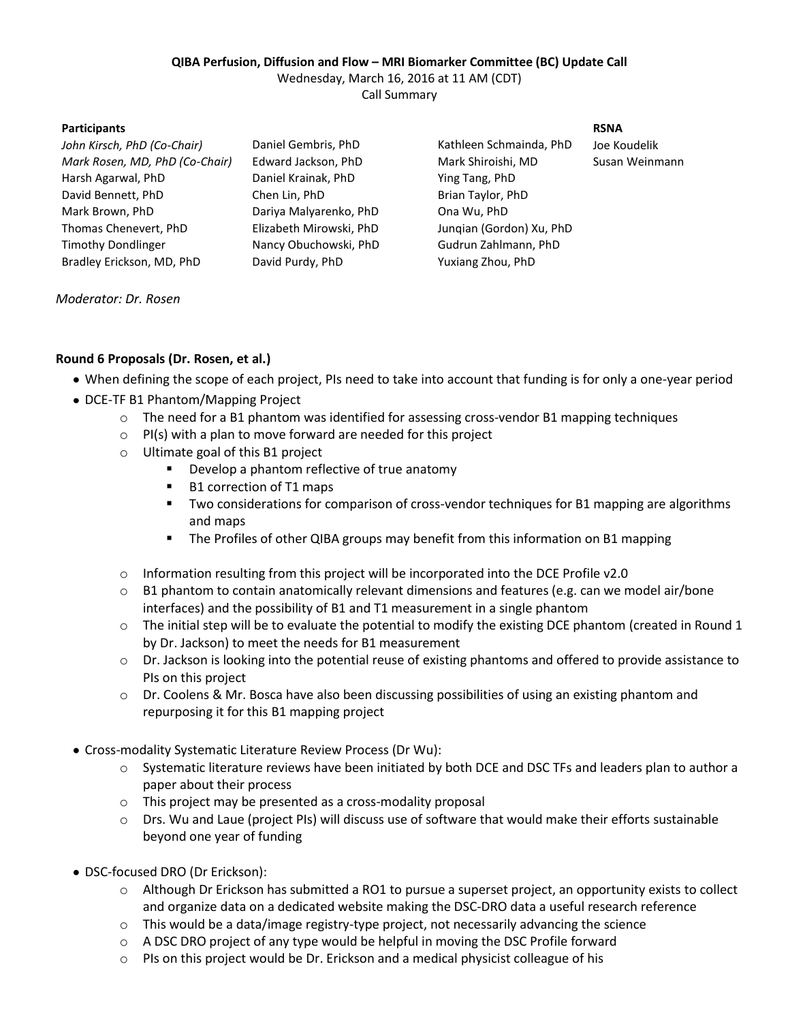## **QIBA Perfusion, Diffusion and Flow – MRI Biomarker Committee (BC) Update Call**

Wednesday, March 16, 2016 at 11 AM (CDT)

Call Summary

## **Participants RSNA**

*John Kirsch, PhD (Co-Chair)* Daniel Gembris, PhD Kathleen Schmainda, PhD Joe Koudelik *Mark Rosen, MD, PhD (Co-Chair)* Edward Jackson, PhD Mark Shiroishi, MD Harsh Agarwal, PhD Daniel Krainak, PhD Ying Tang, PhD David Bennett, PhD Chen Lin, PhD Brian Taylor, PhD Mark Brown, PhD Dariya Malyarenko, PhD Ona Wu, PhD Thomas Chenevert, PhD Elizabeth Mirowski, PhD Junqian (Gordon) Xu, PhD Timothy Dondlinger Nancy Obuchowski, PhD Gudrun Zahlmann, PhD Bradley Erickson, MD, PhD David Purdy, PhD Yuxiang Zhou, PhD

Susan Weinmann

*Moderator: Dr. Rosen*

- When defining the scope of each project, PIs need to take into account that funding is for only a one-year period
- DCE-TF B1 Phantom/Mapping Project

**Round 6 Proposals (Dr. Rosen, et al.)**

- $\circ$  The need for a B1 phantom was identified for assessing cross-vendor B1 mapping techniques
- $\circ$  PI(s) with a plan to move forward are needed for this project
- o Ultimate goal of this B1 project
	- **Develop a phantom reflective of true anatomy**
	- B1 correction of T1 maps
	- Two considerations for comparison of cross-vendor techniques for B1 mapping are algorithms and maps
	- The Profiles of other QIBA groups may benefit from this information on B1 mapping
- o Information resulting from this project will be incorporated into the DCE Profile v2.0
- $\circ$  B1 phantom to contain anatomically relevant dimensions and features (e.g. can we model air/bone interfaces) and the possibility of B1 and T1 measurement in a single phantom
- $\circ$  The initial step will be to evaluate the potential to modify the existing DCE phantom (created in Round 1 by Dr. Jackson) to meet the needs for B1 measurement
- o Dr. Jackson is looking into the potential reuse of existing phantoms and offered to provide assistance to PIs on this project
- $\circ$  Dr. Coolens & Mr. Bosca have also been discussing possibilities of using an existing phantom and repurposing it for this B1 mapping project
- Cross-modality Systematic Literature Review Process (Dr Wu):
	- o Systematic literature reviews have been initiated by both DCE and DSC TFs and leaders plan to author a paper about their process
	- o This project may be presented as a cross-modality proposal
	- o Drs. Wu and Laue (project PIs) will discuss use of software that would make their efforts sustainable beyond one year of funding
- DSC-focused DRO (Dr Erickson):
	- o Although Dr Erickson has submitted a RO1 to pursue a superset project, an opportunity exists to collect and organize data on a dedicated website making the DSC-DRO data a useful research reference
	- $\circ$  This would be a data/image registry-type project, not necessarily advancing the science
	- $\circ$  A DSC DRO project of any type would be helpful in moving the DSC Profile forward
	- $\circ$  PIs on this project would be Dr. Erickson and a medical physicist colleague of his